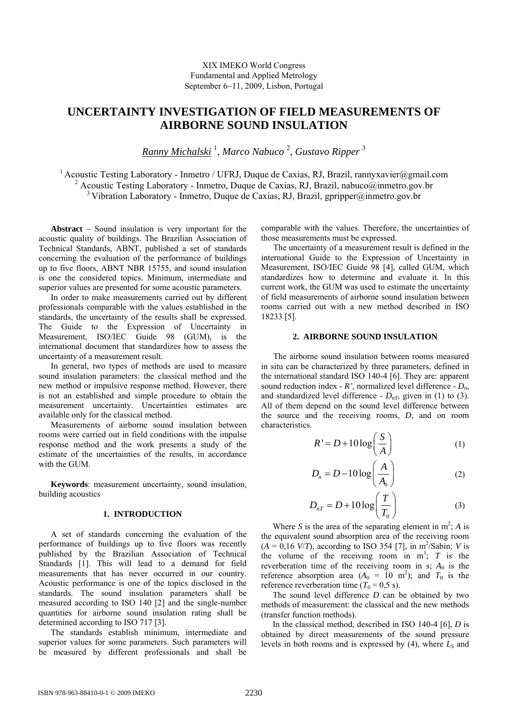# **UNCERTAINTY INVESTIGATION OF FIELD MEASUREMENTS OF AIRBORNE SOUND INSULATION**

*Ranny Michalski* <sup>1</sup> , *Marco Nabuco* <sup>2</sup> , *Gustavo Ripper* <sup>3</sup>

<sup>1</sup> Acoustic Testing Laboratory - Inmetro / UFRJ, Duque de Caxias, RJ, Brazil, rannyxavier@gmail.com <sup>2</sup> Acoustic Testing Laboratory - Inmetro, Duque de Caxias, RJ, Brazil, nabuco@inmetro.gov.br  $3$  Vibration Laboratory - Inmetro, Duque de Caxias, RJ, Brazil, gpripper@inmetro.gov.br

**Abstract** − Sound insulation is very important for the acoustic quality of buildings. The Brazilian Association of Technical Standards, ABNT, published a set of standards concerning the evaluation of the performance of buildings up to five floors, ABNT NBR 15755, and sound insulation is one the considered topics. Minimum, intermediate and superior values are presented for some acoustic parameters.

In order to make measurements carried out by different professionals comparable with the values established in the standards, the uncertainty of the results shall be expressed. The Guide to the Expression of Uncertainty in Measurement, ISO/IEC Guide 98 (GUM), is the international document that standardizes how to assess the uncertainty of a measurement result.

In general, two types of methods are used to measure sound insulation parameters: the classical method and the new method or impulsive response method. However, there is not an established and simple procedure to obtain the measurement uncertainty. Uncertainties estimates are available only for the classical method.

Measurements of airborne sound insulation between rooms were carried out in field conditions with the impulse response method and the work presents a study of the estimate of the uncertainties of the results, in accordance with the GUM

**Keywords**: measurement uncertainty, sound insulation, building acoustics

### **1. INTRODUCTION**

A set of standards concerning the evaluation of the performance of buildings up to five floors was recently published by the Brazilian Association of Technical Standards [1]. This will lead to a demand for field measurements that has never occurred in our country. Acoustic performance is one of the topics disclosed in the standards. The sound insulation parameters shall be measured according to ISO 140 [2] and the single-number quantities for airborne sound insulation rating shall be determined according to ISO 717 [3].

The standards establish minimum, intermediate and superior values for some parameters. Such parameters will be measured by different professionals and shall be comparable with the values. Therefore, the uncertainties of those measurements must be expressed.

The uncertainty of a measurement result is defined in the international Guide to the Expression of Uncertainty in Measurement, ISO/IEC Guide 98 [4], called GUM, which standardizes how to determine and evaluate it. In this current work, the GUM was used to estimate the uncertainty of field measurements of airborne sound insulation between rooms carried out with a new method described in ISO 18233 [5].

## **2. AIRBORNE SOUND INSULATION**

The airborne sound insulation between rooms measured in situ can be characterized by three parameters, defined in the international standard ISO 140-4 [6]. They are: apparent sound reduction index -  $R'$ , normalized level difference -  $D_n$ , and standardized level difference -  $D_{nT}$ , given in (1) to (3). All of them depend on the sound level difference between the source and the receiving rooms, *D*, and on room characteristics.

$$
R' = D + 10 \log \left( \frac{S}{A} \right) \tag{1}
$$

$$
D_n = D - 10 \log \left( \frac{A}{A_0} \right) \tag{2}
$$

$$
D_{nT} = D + 10 \log \left( \frac{T}{T_0} \right) \tag{3}
$$

Where *S* is the area of the separating element in  $m^2$ ; *A* is the equivalent sound absorption area of the receiving room  $(A = 0.16 \text{ V/T})$ , according to ISO 354 [7], in m<sup>2</sup>/Sabin; *V* is the volume of the receiving room in  $m^3$ ;  $T$  is the reverberation time of the receiving room in s;  $A_0$  is the reference absorption area  $(A_0 = 10 \text{ m}^2)$ ; and  $T_0$  is the reference reverberation time ( $T_0$  = 0,5 s).

The sound level difference *D* can be obtained by two methods of measurement: the classical and the new methods (transfer function methods).

In the classical method, described in ISO 140-4 [6], *D* is obtained by direct measurements of the sound pressure levels in both rooms and is expressed by  $(4)$ , where  $L<sub>S</sub>$  and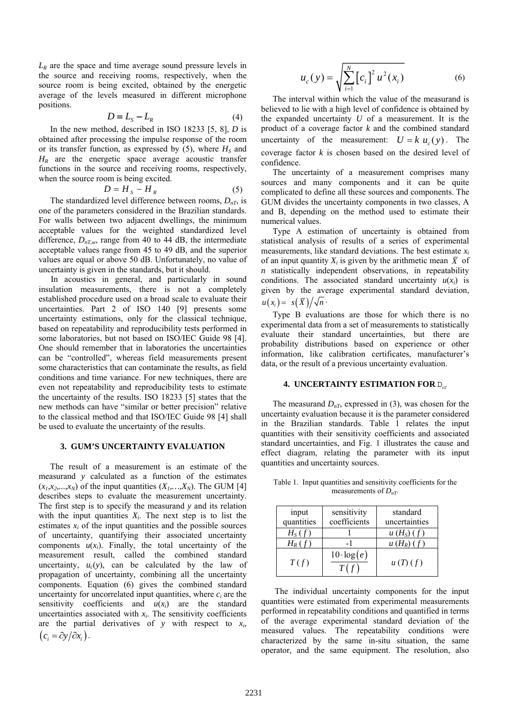*LR* are the space and time average sound pressure levels in the source and receiving rooms, respectively, when the source room is being excited, obtained by the energetic average of the levels measured in different microphone positions.

$$
D = L_{S} - L_{R} \tag{4}
$$

In the new method, described in ISO 18233 [5, 8], *D* is obtained after processing the impulse response of the room or its transfer function, as expressed by  $(5)$ , where  $H<sub>S</sub>$  and *HR* are the energetic space average acoustic transfer functions in the source and receiving rooms, respectively, when the source room is being excited.

$$
D = H_s - H_R \tag{5}
$$

The standardized level difference between rooms,  $D_{nT}$ , is one of the parameters considered in the Brazilian standards. For walls between two adjacent dwellings, the minimum acceptable values for the weighted standardized level difference,  $D_{nT,w}$ , range from 40 to 44 dB, the intermediate acceptable values range from 45 to 49 dB, and the superior values are equal or above 50 dB. Unfortunately, no value of uncertainty is given in the standards, but it should.

In acoustics in general, and particularly in sound insulation measurements, there is not a completely established procedure used on a broad scale to evaluate their uncertainties. Part 2 of ISO 140 [9] presents some uncertainty estimations, only for the classical technique, based on repeatability and reproducibility tests performed in some laboratories, but not based on ISO/IEC Guide 98 [4]. One should remember that in laboratories the uncertainties can be "controlled", whereas field measurements present some characteristics that can contaminate the results, as field conditions and time variance. For new techniques, there are even not repeatability and reproducibility tests to estimate the uncertainty of the results. ISO 18233 [5] states that the new methods can have "similar or better precision" relative to the classical method and that ISO/IEC Guide 98 [4] shall be used to evaluate the uncertainty of the results.

# **3. GUM'S UNCERTAINTY EVALUATION**

The result of a measurement is an estimate of the measurand *y* calculated as a function of the estimates  $(x_1, x_2,...,x_N)$  of the input quantities  $(X_1,...,X_N)$ . The GUM [4] describes steps to evaluate the measurement uncertainty. The first step is to specify the measurand *y* and its relation with the input quantities  $X_i$ . The next step is to list the estimates  $x_i$  of the input quantities and the possible sources of uncertainty, quantifying their associated uncertainty components  $u(x_i)$ . Finally, the total uncertainty of the measurement result, called the combined standard uncertainty,  $u_c(y)$ , can be calculated by the law of propagation of uncertainty, combining all the uncertainty components. Equation (6) gives the combined standard uncertainty for uncorrelated input quantities, where *ci* are the sensitivity coefficients and  $u(x_i)$  are the standard uncertainties associated with  $x_i$ . The sensitivity coefficients are the partial derivatives of *y* with respect to *xi*,  $(c_i = \partial y / \partial x_i)$ .

$$
u_c(y) = \sqrt{\sum_{i=1}^{N} [c_i]^2 u^2(x_i)}
$$
 (6)

The interval within which the value of the measurand is believed to lie with a high level of confidence is obtained by the expanded uncertainty *U* of a measurement. It is the product of a coverage factor *k* and the combined standard uncertainty of the measurement:  $U = k u<sub>e</sub>(y)$ . The coverage factor *k* is chosen based on the desired level of confidence.

The uncertainty of a measurement comprises many sources and many components and it can be quite complicated to define all these sources and components. The GUM divides the uncertainty components in two classes, A and B, depending on the method used to estimate their numerical values.

Type A estimation of uncertainty is obtained from statistical analysis of results of a series of experimental measurements, like standard deviations. The best estimate *xi* of an input quantity  $X_i$  is given by the arithmetic mean  $\overline{X}$  of *n* statistically independent observations, in repeatability conditions. The associated standard uncertainty  $u(x_i)$  is given by the average experimental standard deviation,  $u(x_i) = s(\overline{X})/\sqrt{n}$ .

Type B evaluations are those for which there is no experimental data from a set of measurements to statistically evaluate their standard uncertainties, but there are probability distributions based on experience or other information, like calibration certificates, manufacturer's data, or the result of a previous uncertainty evaluation.

# **4. UNCERTAINTY ESTIMATION FOR D<sub>nT</sub>**

The measurand  $D_{nT}$ , expressed in (3), was chosen for the uncertainty evaluation because it is the parameter considered in the Brazilian standards. Table 1 relates the input quantities with their sensitivity coefficients and associated standard uncertainties, and Fig. 1 illustrates the cause and effect diagram, relating the parameter with its input quantities and uncertainty sources.

Table 1. Input quantities and sensitivity coefficients for the measurements of  $D_{nT}$ .

| input<br>quantities | sensitivity<br>coefficients | standard<br>uncertainties |
|---------------------|-----------------------------|---------------------------|
| $H_S(f)$            |                             | u(H <sub>S</sub> ) (f)    |
| $H_R(f)$            |                             | $u(H_R)(f)$               |
| T(f)                | $10 \cdot \log(e)$<br>T(f)  | u(T)(f)                   |

 The individual uncertainty components for the input quantities were estimated from experimental measurements performed in repeatability conditions and quantified in terms of the average experimental standard deviation of the measured values. The repeatability conditions were characterized by the same in-situ situation, the same operator, and the same equipment. The resolution, also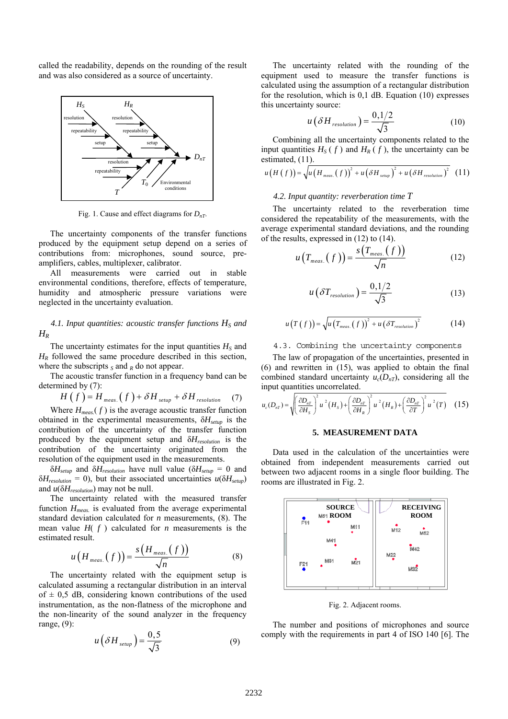called the readability, depends on the rounding of the result and was also considered as a source of uncertainty.



Fig. 1. Cause and effect diagrams for *DnT*.

The uncertainty components of the transfer functions produced by the equipment setup depend on a series of contributions from: microphones, sound source, preamplifiers, cables, multiplexer, calibrator.

All measurements were carried out in stable environmental conditions, therefore, effects of temperature, humidity and atmospheric pressure variations were neglected in the uncertainty evaluation.

# 4.1. Input quantities: acoustic transfer functions  $H<sub>S</sub>$  and *HR*

The uncertainty estimates for the input quantities  $H<sub>S</sub>$  and  $H_R$  followed the same procedure described in this section, where the subscripts  $<sub>S</sub>$  and  $<sub>R</sub>$  do not appear.</sub></sub>

The acoustic transfer function in a frequency band can be determined by (7):

$$
H(f) = H_{meas.}(f) + \delta H_{\text{setup}} + \delta H_{\text{resolution}} \quad (7)
$$

Where  $H_{meas}(f)$  is the average acoustic transfer function obtained in the experimental measurements, δ*Hsetup* is the contribution of the uncertainty of the transfer function produced by the equipment setup and δ*Hresolution* is the contribution of the uncertainty originated from the resolution of the equipment used in the measurements.

 $\delta H_{\text{setup}}$  and  $\delta H_{\text{resolution}}$  have null value ( $\delta H_{\text{setup}} = 0$  and  $\delta H_{resolution} = 0$ , but their associated uncertainties  $u(\delta H_{setup})$ and *u*(δ*Hresolution*) may not be null.

The uncertainty related with the measured transfer function  $H_{meas.}$  is evaluated from the average experimental standard deviation calculated for *n* measurements, (8). The mean value  $H(f)$  calculated for *n* measurements is the estimated result.

$$
u\left(H_{meas.}(f)\right) = \frac{s\left(H_{meas.}(f)\right)}{\sqrt{n}}\tag{8}
$$

The uncertainty related with the equipment setup is calculated assuming a rectangular distribution in an interval of  $\pm$  0,5 dB, considering known contributions of the used instrumentation, as the non-flatness of the microphone and the non-linearity of the sound analyzer in the frequency range, (9):

$$
u\left(\delta H_{\text{setup}}\right) = \frac{0,5}{\sqrt{3}}\tag{9}
$$

The uncertainty related with the rounding of the equipment used to measure the transfer functions is calculated using the assumption of a rectangular distribution for the resolution, which is 0,1 dB. Equation (10) expresses this uncertainty source:

$$
u\left(\delta H_{\text{resolution}}\right) = \frac{0,1/2}{\sqrt{3}}\tag{10}
$$

Combining all the uncertainty components related to the input quantities  $H_S(f)$  and  $H_R(f)$ , the uncertainty can be estimated, (11).

$$
u(H(f)) = \sqrt{u(H_{meas.}(f))^{2} + u(\delta H_{seup})^{2} + u(\delta H_{resolution})^{2}}
$$
 (11)

## *4.2. Input quantity: reverberation time T*

The uncertainty related to the reverberation time considered the repeatability of the measurements, with the average experimental standard deviations, and the rounding of the results, expressed in (12) to (14).

$$
u\left(T_{meas.}(f)\right) = \frac{s\left(T_{meas.}(f)\right)}{\sqrt{n}}\tag{12}
$$

$$
u\left(\delta T_{resolution}\right) = \frac{0,1/2}{\sqrt{3}}\tag{13}
$$

$$
u(T(f)) = \sqrt{u(T_{meas.}(f))^{2} + u(\delta T_{resolution})^{2}}
$$
 (14)

4.3. Combining the uncertainty components

The law of propagation of the uncertainties, presented in (6) and rewritten in (15), was applied to obtain the final combined standard uncertainty  $u_c(D_{nT})$ , considering all the input quantities uncorrelated.

$$
u_c(D_{nT}) = \sqrt{\left(\frac{\partial D_{nT}}{\partial H_S}\right)^2 u^2 (H_S) + \left(\frac{\partial D_{nT}}{\partial H_R}\right)^2 u^2 (H_R) + \left(\frac{\partial D_{nT}}{\partial T}\right)^2 u^2 (T)}
$$
 (15)

#### **5. MEASUREMENT DATA**

Data used in the calculation of the uncertainties were obtained from independent measurements carried out between two adjacent rooms in a single floor building. The rooms are illustrated in Fig. 2.



Fig. 2. Adjacent rooms.

The number and positions of microphones and source comply with the requirements in part 4 of ISO 140 [6]. The